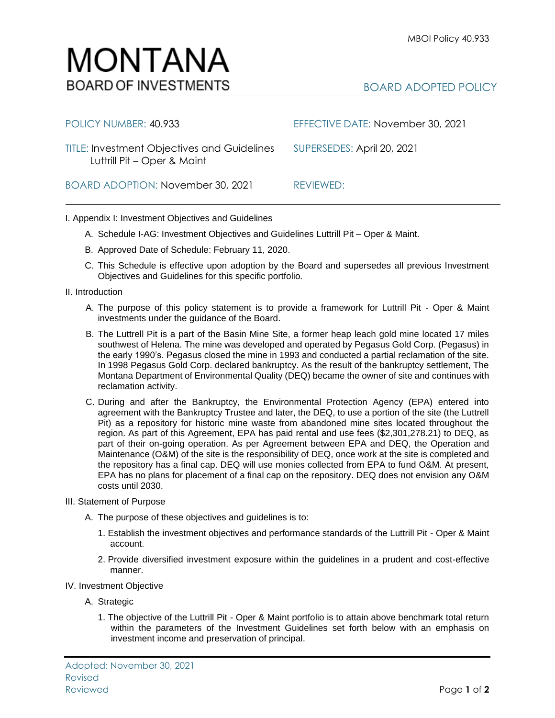

| POLICY NUMBER: 40.933                                                      | EFFECTIVE DATE: November 30, 2021 |
|----------------------------------------------------------------------------|-----------------------------------|
| TITLE: Investment Objectives and Guidelines<br>Luttrill Pit - Oper & Maint | SUPERSEDES: April 20, 2021        |
| BOARD ADOPTION: November 30, 2021                                          | REVIEWED:                         |

## I. Appendix I: Investment Objectives and Guidelines

- A. Schedule I-AG: Investment Objectives and Guidelines Luttrill Pit Oper & Maint.
- B. Approved Date of Schedule: February 11, 2020.
- C. This Schedule is effective upon adoption by the Board and supersedes all previous Investment Objectives and Guidelines for this specific portfolio*.*
- II. Introduction
	- A. The purpose of this policy statement is to provide a framework for Luttrill Pit Oper & Maint investments under the guidance of the Board.
	- B. The Luttrell Pit is a part of the Basin Mine Site, a former heap leach gold mine located 17 miles southwest of Helena. The mine was developed and operated by Pegasus Gold Corp. (Pegasus) in the early 1990's. Pegasus closed the mine in 1993 and conducted a partial reclamation of the site. In 1998 Pegasus Gold Corp. declared bankruptcy. As the result of the bankruptcy settlement, The Montana Department of Environmental Quality (DEQ) became the owner of site and continues with reclamation activity.
	- C. During and after the Bankruptcy, the Environmental Protection Agency (EPA) entered into agreement with the Bankruptcy Trustee and later, the DEQ, to use a portion of the site (the Luttrell Pit) as a repository for historic mine waste from abandoned mine sites located throughout the region. As part of this Agreement, EPA has paid rental and use fees (\$2,301,278.21) to DEQ, as part of their on-going operation. As per Agreement between EPA and DEQ, the Operation and Maintenance (O&M) of the site is the responsibility of DEQ, once work at the site is completed and the repository has a final cap. DEQ will use monies collected from EPA to fund O&M. At present, EPA has no plans for placement of a final cap on the repository. DEQ does not envision any O&M costs until 2030.
- III. Statement of Purpose
	- A. The purpose of these objectives and guidelines is to:
		- 1. Establish the investment objectives and performance standards of the Luttrill Pit Oper & Maint account.
		- 2. Provide diversified investment exposure within the guidelines in a prudent and cost-effective manner.
- IV. Investment Objective
	- A. Strategic
		- 1. The objective of the Luttrill Pit Oper & Maint portfolio is to attain above benchmark total return within the parameters of the Investment Guidelines set forth below with an emphasis on investment income and preservation of principal.